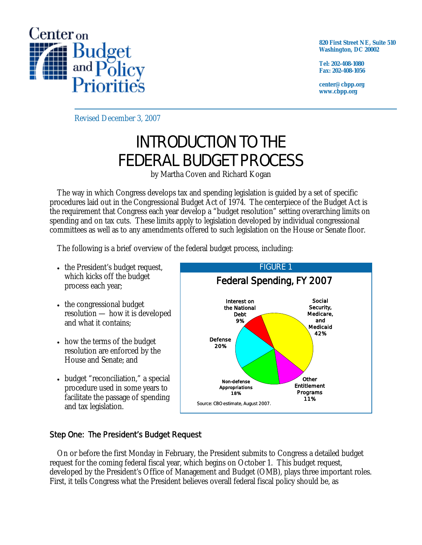

**820 First Street NE, Suite 510 Washington, DC 20002** 

**Tel: 202-408-1080 Fax: 202-408-1056** 

**center@cbpp.org www.cbpp.org** 

Revised December 3, 2007

# INTRODUCTION TO THE FEDERAL BUDGET PROCESS

by Martha Coven and Richard Kogan

The way in which Congress develops tax and spending legislation is guided by a set of specific procedures laid out in the Congressional Budget Act of 1974. The centerpiece of the Budget Act is the requirement that Congress each year develop a "budget resolution" setting overarching limits on spending and on tax cuts. These limits apply to legislation developed by individual congressional committees as well as to any amendments offered to such legislation on the House or Senate floor.

The following is a brief overview of the federal budget process, including:

- the President's budget request, which kicks off the budget process each year;
- the congressional budget resolution — how it is developed and what it contains;
- how the terms of the budget resolution are enforced by the House and Senate; and
- budget "reconciliation," a special procedure used in some years to facilitate the passage of spending and tax legislation.



# Step One: The President's Budget Request

On or before the first Monday in February, the President submits to Congress a detailed budget request for the coming federal fiscal year, which begins on October 1. This budget request, developed by the President's Office of Management and Budget (OMB), plays three important roles. First, it tells Congress what the President believes overall federal fiscal policy should be, as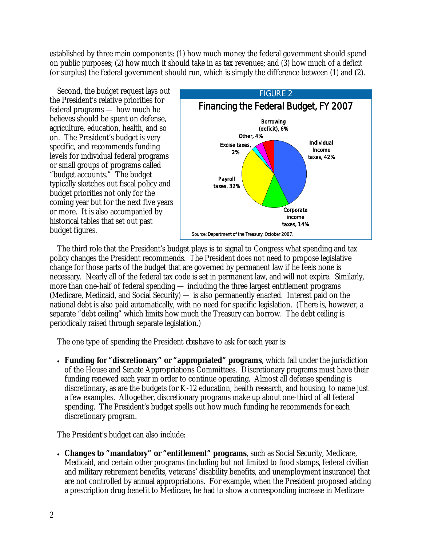established by three main components: (1) how much money the federal government should spend on public purposes; (2) how much it should take in as tax revenues; and (3) how much of a deficit (or surplus) the federal government should run, which is simply the difference between (1) and (2).

Second, the budget request lays out the President's relative priorities for federal programs — how much he believes should be spent on defense, agriculture, education, health, and so on. The President's budget is very specific, and recommends funding levels for individual federal programs or small groups of programs called "budget accounts." The budget typically sketches out fiscal policy and budget priorities not only for the coming year but for the next five years or more. It is also accompanied by historical tables that set out past budget figures.



The third role that the President's budget plays is to signal to Congress what spending and tax policy changes the President recommends. The President does not need to propose legislative change for those parts of the budget that are governed by permanent law if he feels none is necessary. Nearly all of the federal tax code is set in permanent law, and will not expire. Similarly, more than one-half of federal spending — including the three largest entitlement programs (Medicare, Medicaid, and Social Security) — is also permanently enacted. Interest paid on the national debt is also paid automatically, with no need for specific legislation. (There is, however, a separate "debt ceiling" which limits how much the Treasury can borrow. The debt ceiling is periodically raised through separate legislation.)

The one type of spending the President *does* have to ask for each year is:

• **Funding for "discretionary" or "appropriated" programs**, which fall under the jurisdiction of the House and Senate Appropriations Committees. Discretionary programs must have their funding renewed each year in order to continue operating. Almost all defense spending is discretionary, as are the budgets for K-12 education, health research, and housing, to name just a few examples. Altogether, discretionary programs make up about one-third of all federal spending. The President's budget spells out how much funding he recommends for each discretionary program.

The President's budget can also include:

• **Changes to "mandatory" or "entitlement" programs**, such as Social Security, Medicare, Medicaid, and certain other programs (including but not limited to food stamps, federal civilian and military retirement benefits, veterans' disability benefits, and unemployment insurance) that are not controlled by annual appropriations. For example, when the President proposed adding a prescription drug benefit to Medicare, he had to show a corresponding increase in Medicare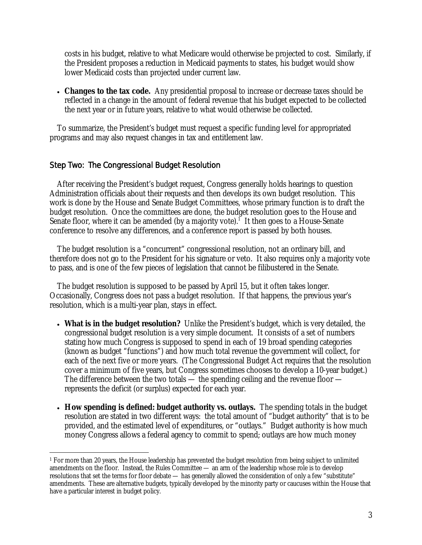costs in his budget, relative to what Medicare would otherwise be projected to cost. Similarly, if the President proposes a reduction in Medicaid payments to states, his budget would show lower Medicaid costs than projected under current law.

• **Changes to the tax code.** Any presidential proposal to increase or decrease taxes should be reflected in a change in the amount of federal revenue that his budget expected to be collected the next year or in future years, relative to what would otherwise be collected.

To summarize, the President's budget must request a specific funding level for appropriated programs and may also request changes in tax and entitlement law.

## Step Two: The Congressional Budget Resolution

After receiving the President's budget request, Congress generally holds hearings to question Administration officials about their requests and then develops its own budget resolution. This work is done by the House and Senate Budget Committees, whose primary function is to draft the budget resolution. Once the committees are done, the budget resolution goes to the House and Senate floor, where it can be amended (by a majority vote).<sup>1</sup> It then goes to a House-Senate conference to resolve any differences, and a conference report is passed by both houses.

The budget resolution is a "concurrent" congressional resolution, not an ordinary bill, and therefore does not go to the President for his signature or veto. It also requires only a majority vote to pass, and is one of the few pieces of legislation that cannot be filibustered in the Senate.

The budget resolution is supposed to be passed by April 15, but it often takes longer. Occasionally, Congress does not pass a budget resolution. If that happens, the previous year's resolution, which is a multi-year plan, stays in effect.

- **What is in the budget resolution?** Unlike the President's budget, which is very detailed, the congressional budget resolution is a very simple document. It consists of a set of numbers stating how much Congress is supposed to spend in each of 19 broad spending categories (known as budget "functions") and how much total revenue the government will collect, for each of the next five or more years. (The Congressional Budget Act requires that the resolution cover a minimum of five years, but Congress sometimes chooses to develop a 10-year budget.) The difference between the two totals — the spending ceiling and the revenue floor represents the deficit (or surplus) expected for each year.
- **How spending is defined: budget authority vs. outlays.** The spending totals in the budget resolution are stated in two different ways: the total amount of "budget authority" that is to be provided, and the estimated level of expenditures, or "outlays." Budget authority is how much money Congress allows a federal agency to commit to spend; outlays are how much money

 $\overline{a}$ 1 For more than 20 years, the House leadership has prevented the budget resolution from being subject to unlimited amendments on the floor. Instead, the Rules Committee — an arm of the leadership whose role is to develop resolutions that set the terms for floor debate — has generally allowed the consideration of only a few "substitute" amendments. These are alternative budgets, typically developed by the minority party or caucuses within the House that have a particular interest in budget policy.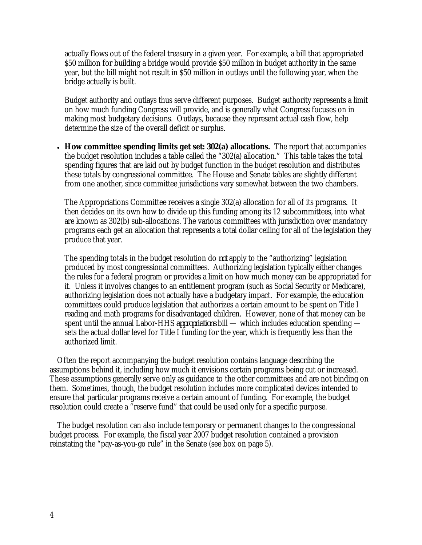actually flows out of the federal treasury in a given year. For example, a bill that appropriated \$50 million for building a bridge would provide \$50 million in budget authority in the same year, but the bill might not result in \$50 million in outlays until the following year, when the bridge actually is built.

Budget authority and outlays thus serve different purposes. Budget authority represents a limit on how much funding Congress will provide, and is generally what Congress focuses on in making most budgetary decisions. Outlays, because they represent actual cash flow, help determine the size of the overall deficit or surplus.

• **How committee spending limits get set: 302(a) allocations.** The report that accompanies the budget resolution includes a table called the "302(a) allocation." This table takes the total spending figures that are laid out by budget function in the budget resolution and distributes these totals by congressional committee. The House and Senate tables are slightly different from one another, since committee jurisdictions vary somewhat between the two chambers.

The Appropriations Committee receives a single 302(a) allocation for all of its programs. It then decides on its own how to divide up this funding among its 12 subcommittees, into what are known as 302(b) sub-allocations. The various committees with jurisdiction over mandatory programs each get an allocation that represents a total dollar ceiling for all of the legislation they produce that year.

The spending totals in the budget resolution do *not* apply to the "authorizing" legislation produced by most congressional committees. Authorizing legislation typically either changes the rules for a federal program or provides a limit on how much money can be appropriated for it. Unless it involves changes to an entitlement program (such as Social Security or Medicare), authorizing legislation does not actually have a budgetary impact. For example, the education committees could produce legislation that authorizes a certain amount to be spent on Title I reading and math programs for disadvantaged children. However, none of that money can be spent until the annual Labor-HHS *appropriations* bill — which includes education spending sets the actual dollar level for Title I funding for the year, which is frequently less than the authorized limit.

Often the report accompanying the budget resolution contains language describing the assumptions behind it, including how much it envisions certain programs being cut or increased. These assumptions generally serve only as guidance to the other committees and are not binding on them. Sometimes, though, the budget resolution includes more complicated devices intended to ensure that particular programs receive a certain amount of funding. For example, the budget resolution could create a "reserve fund" that could be used only for a specific purpose.

The budget resolution can also include temporary or permanent changes to the congressional budget process. For example, the fiscal year 2007 budget resolution contained a provision reinstating the "pay-as-you-go rule" in the Senate (see box on page 5).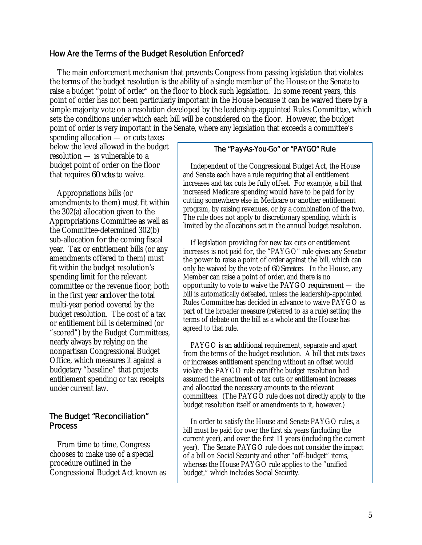#### How Are the Terms of the Budget Resolution Enforced?

The main enforcement mechanism that prevents Congress from passing legislation that violates the terms of the budget resolution is the ability of a single member of the House or the Senate to raise a budget "point of order" on the floor to block such legislation. In some recent years, this point of order has not been particularly important in the House because it can be waived there by a simple majority vote on a resolution developed by the leadership-appointed Rules Committee, which sets the conditions under which each bill will be considered on the floor. However, the budget point of order is very important in the Senate, where any legislation that exceeds a committee's

spending allocation — or cuts taxes below the level allowed in the budget resolution — is vulnerable to a budget point of order on the floor that requires *60 votes* to waive.

Appropriations bills (or amendments to them) must fit within the 302(a) allocation given to the Appropriations Committee as well as the Committee-determined 302(b) sub-allocation for the coming fiscal year. Tax or entitlement bills (or any amendments offered to them) must fit within the budget resolution's spending limit for the relevant committee or the revenue floor, both in the first year *and* over the total multi-year period covered by the budget resolution. The cost of a tax or entitlement bill is determined (or "scored") by the Budget Committees, nearly always by relying on the nonpartisan Congressional Budget Office, which measures it against a budgetary "baseline" that projects entitlement spending or tax receipts under current law.

### The Budget "Reconciliation" **Process**

From time to time, Congress chooses to make use of a special procedure outlined in the Congressional Budget Act known as

#### The "Pay-As-You-Go" or "PAYGO" Rule

Independent of the Congressional Budget Act, the House and Senate each have a rule requiring that all entitlement increases and tax cuts be fully offset. For example, a bill that increased Medicare spending would have to be paid for by cutting somewhere else in Medicare or another entitlement program, by raising revenues, or by a combination of the two. The rule does not apply to discretionary spending, which is limited by the allocations set in the annual budget resolution.

If legislation providing for new tax cuts or entitlement increases is not paid for, the "PAYGO" rule gives any Senator the power to raise a point of order against the bill, which can only be waived by the vote of *60 Senators*. In the House, any Member can raise a point of order, and there is no opportunity to vote to waive the PAYGO requirement — the bill is automatically defeated, unless the leadership-appointed Rules Committee has decided in advance to waive PAYGO as part of the broader measure (referred to as a rule) setting the terms of debate on the bill as a whole and the House has agreed to that rule.

PAYGO is an additional requirement, separate and apart from the terms of the budget resolution. A bill that cuts taxes or increases entitlement spending without an offset would violate the PAYGO rule *even if* the budget resolution had assumed the enactment of tax cuts or entitlement increases and allocated the necessary amounts to the relevant committees. (The PAYGO rule does not directly apply to the budget resolution itself or amendments to it, however.)

In order to satisfy the House and Senate PAYGO rules, a bill must be paid for over the first six years (including the current year), and over the first 11 years (including the current year). The Senate PAYGO rule does not consider the impact of a bill on Social Security and other "off-budget" items, whereas the House PAYGO rule applies to the "unified budget," which includes Social Security.